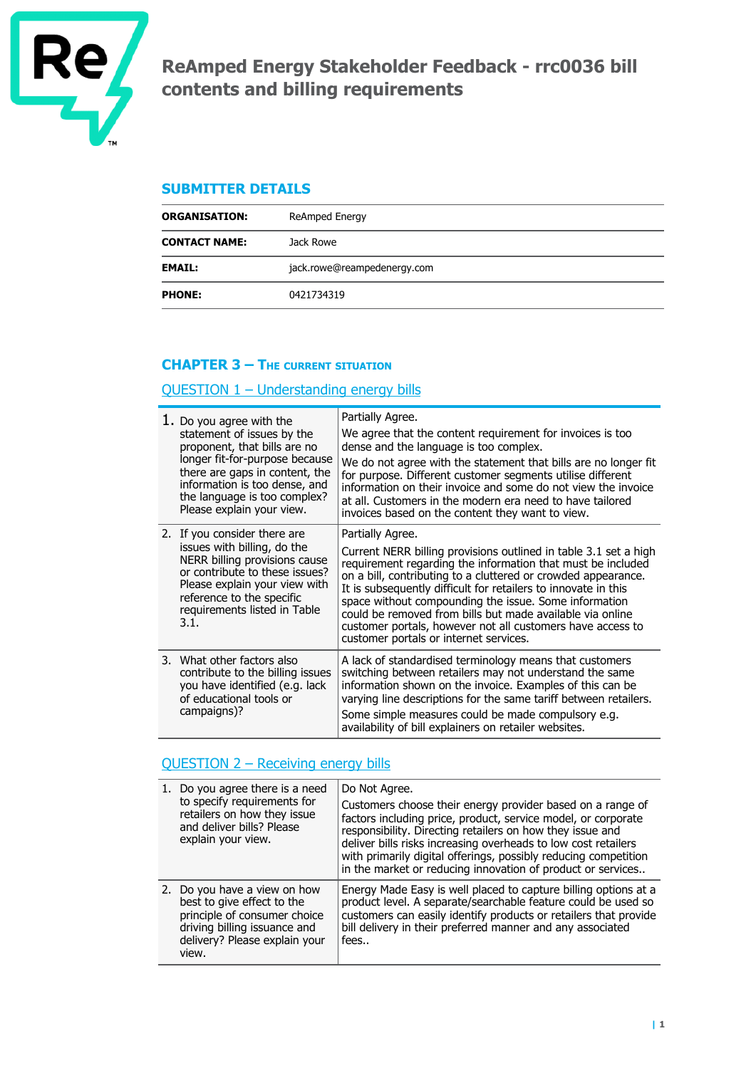

# **ReAmped Energy Stakeholder Feedback - rrc0036 bill contents and billing requirements**

## **SUBMITTER DETAILS**

| <b>ORGANISATION:</b> | ReAmped Energy              |  |
|----------------------|-----------------------------|--|
| <b>CONTACT NAME:</b> | Jack Rowe                   |  |
| <b>EMAIL:</b>        | jack.rowe@reampedenergy.com |  |
| <b>PHONE:</b>        | 0421734319                  |  |

## **CHAPTER 3 – THE CURRENT SITUATION**

## QUESTION 1 – Understanding energy bills

| 1. Do you agree with the<br>statement of issues by the<br>proponent, that bills are no<br>longer fit-for-purpose because<br>there are gaps in content, the<br>information is too dense, and<br>the language is too complex?<br>Please explain your view. | Partially Agree.<br>We agree that the content requirement for invoices is too<br>dense and the language is too complex.<br>We do not agree with the statement that bills are no longer fit<br>for purpose. Different customer segments utilise different<br>information on their invoice and some do not view the invoice<br>at all. Customers in the modern era need to have tailored<br>invoices based on the content they want to view.                                                                           |
|----------------------------------------------------------------------------------------------------------------------------------------------------------------------------------------------------------------------------------------------------------|----------------------------------------------------------------------------------------------------------------------------------------------------------------------------------------------------------------------------------------------------------------------------------------------------------------------------------------------------------------------------------------------------------------------------------------------------------------------------------------------------------------------|
| 2. If you consider there are<br>issues with billing, do the<br>NERR billing provisions cause<br>or contribute to these issues?<br>Please explain your view with<br>reference to the specific<br>requirements listed in Table<br>3.1.                     | Partially Agree.<br>Current NERR billing provisions outlined in table 3.1 set a high<br>requirement regarding the information that must be included<br>on a bill, contributing to a cluttered or crowded appearance.<br>It is subsequently difficult for retailers to innovate in this<br>space without compounding the issue. Some information<br>could be removed from bills but made available via online<br>customer portals, however not all customers have access to<br>customer portals or internet services. |
| 3. What other factors also<br>contribute to the billing issues<br>you have identified (e.g. lack<br>of educational tools or<br>campaigns)?                                                                                                               | A lack of standardised terminology means that customers<br>switching between retailers may not understand the same<br>information shown on the invoice. Examples of this can be<br>varying line descriptions for the same tariff between retailers.<br>Some simple measures could be made compulsory e.g.<br>availability of bill explainers on retailer websites.                                                                                                                                                   |

## QUESTION 2 – Receiving energy bills

| 1. Do you agree there is a need<br>to specify requirements for<br>retailers on how they issue<br>and deliver bills? Please<br>explain your view.                     | Do Not Agree.<br>Customers choose their energy provider based on a range of<br>factors including price, product, service model, or corporate<br>responsibility. Directing retailers on how they issue and<br>deliver bills risks increasing overheads to low cost retailers<br>with primarily digital offerings, possibly reducing competition<br>in the market or reducing innovation of product or services |
|----------------------------------------------------------------------------------------------------------------------------------------------------------------------|---------------------------------------------------------------------------------------------------------------------------------------------------------------------------------------------------------------------------------------------------------------------------------------------------------------------------------------------------------------------------------------------------------------|
| 2. Do you have a view on how<br>best to give effect to the<br>principle of consumer choice<br>driving billing issuance and<br>delivery? Please explain your<br>view. | Energy Made Easy is well placed to capture billing options at a<br>product level. A separate/searchable feature could be used so<br>customers can easily identify products or retailers that provide<br>bill delivery in their preferred manner and any associated<br>fees                                                                                                                                    |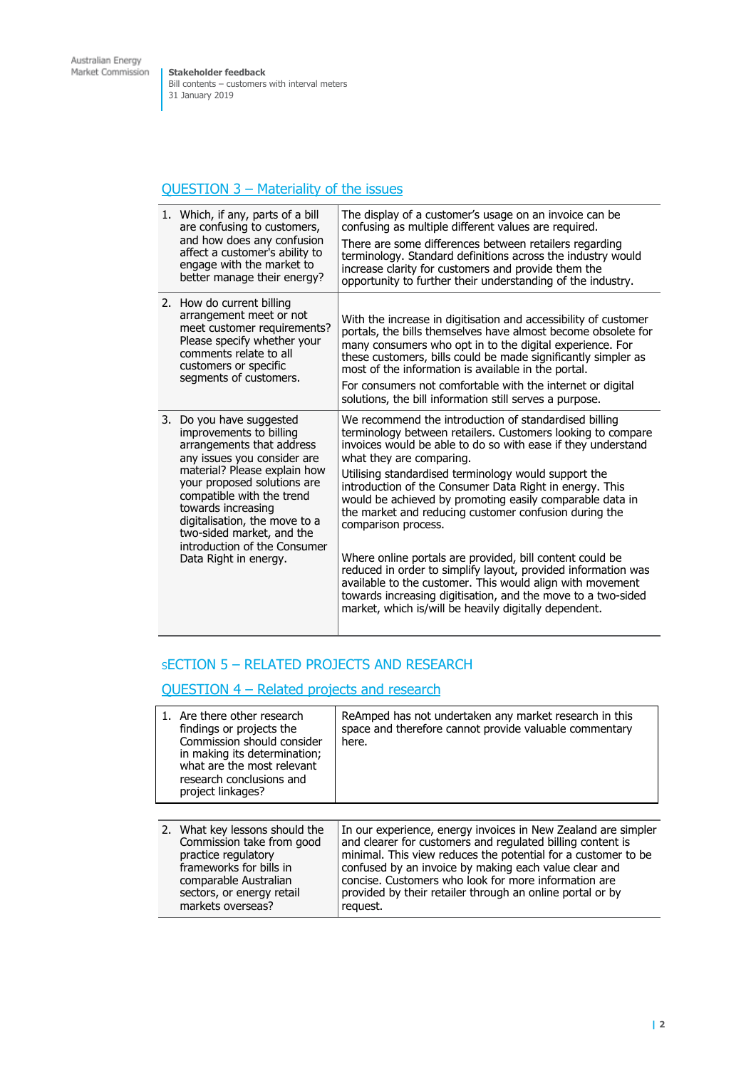**Stakeholder feedback** Bill contents – customers with interval meters 31 January 2019

## QUESTION 3 – Materiality of the issues

|    | 1. Which, if any, parts of a bill<br>are confusing to customers,<br>and how does any confusion<br>affect a customer's ability to<br>engage with the market to<br>better manage their energy?                                                                                                                                                          | The display of a customer's usage on an invoice can be<br>confusing as multiple different values are required.<br>There are some differences between retailers regarding<br>terminology. Standard definitions across the industry would<br>increase clarity for customers and provide them the<br>opportunity to further their understanding of the industry.                                                                                                                                                                                                                                                                                                                                                                                                                                      |
|----|-------------------------------------------------------------------------------------------------------------------------------------------------------------------------------------------------------------------------------------------------------------------------------------------------------------------------------------------------------|----------------------------------------------------------------------------------------------------------------------------------------------------------------------------------------------------------------------------------------------------------------------------------------------------------------------------------------------------------------------------------------------------------------------------------------------------------------------------------------------------------------------------------------------------------------------------------------------------------------------------------------------------------------------------------------------------------------------------------------------------------------------------------------------------|
| 2. | How do current billing<br>arrangement meet or not<br>meet customer requirements?<br>Please specify whether your<br>comments relate to all<br>customers or specific<br>segments of customers.                                                                                                                                                          | With the increase in digitisation and accessibility of customer<br>portals, the bills themselves have almost become obsolete for<br>many consumers who opt in to the digital experience. For<br>these customers, bills could be made significantly simpler as<br>most of the information is available in the portal.<br>For consumers not comfortable with the internet or digital<br>solutions, the bill information still serves a purpose.                                                                                                                                                                                                                                                                                                                                                      |
| 3. | Do you have suggested<br>improvements to billing<br>arrangements that address<br>any issues you consider are<br>material? Please explain how<br>your proposed solutions are<br>compatible with the trend<br>towards increasing<br>digitalisation, the move to a<br>two-sided market, and the<br>introduction of the Consumer<br>Data Right in energy. | We recommend the introduction of standardised billing<br>terminology between retailers. Customers looking to compare<br>invoices would be able to do so with ease if they understand<br>what they are comparing.<br>Utilising standardised terminology would support the<br>introduction of the Consumer Data Right in energy. This<br>would be achieved by promoting easily comparable data in<br>the market and reducing customer confusion during the<br>comparison process.<br>Where online portals are provided, bill content could be<br>reduced in order to simplify layout, provided information was<br>available to the customer. This would align with movement<br>towards increasing digitisation, and the move to a two-sided<br>market, which is/will be heavily digitally dependent. |

## <sup>S</sup>ECTION 5 – RELATED PROJECTS AND RESEARCH

QUESTION 4 – Related projects and research

| 1. Are there other research<br>findings or projects the<br>Commission should consider<br>in making its determination;<br>what are the most relevant<br>research conclusions and<br>project linkages? | ReAmped has not undertaken any market research in this<br>space and therefore cannot provide valuable commentary<br>here.                                                                                                                                                                                                                                                              |
|------------------------------------------------------------------------------------------------------------------------------------------------------------------------------------------------------|----------------------------------------------------------------------------------------------------------------------------------------------------------------------------------------------------------------------------------------------------------------------------------------------------------------------------------------------------------------------------------------|
| 2. What key lessons should the<br>Commission take from good<br>practice regulatory<br>frameworks for bills in<br>comparable Australian<br>sectors, or energy retail<br>markets overseas?             | In our experience, energy invoices in New Zealand are simpler<br>and clearer for customers and regulated billing content is<br>minimal. This view reduces the potential for a customer to be<br>confused by an invoice by making each value clear and<br>concise. Customers who look for more information are<br>provided by their retailer through an online portal or by<br>request. |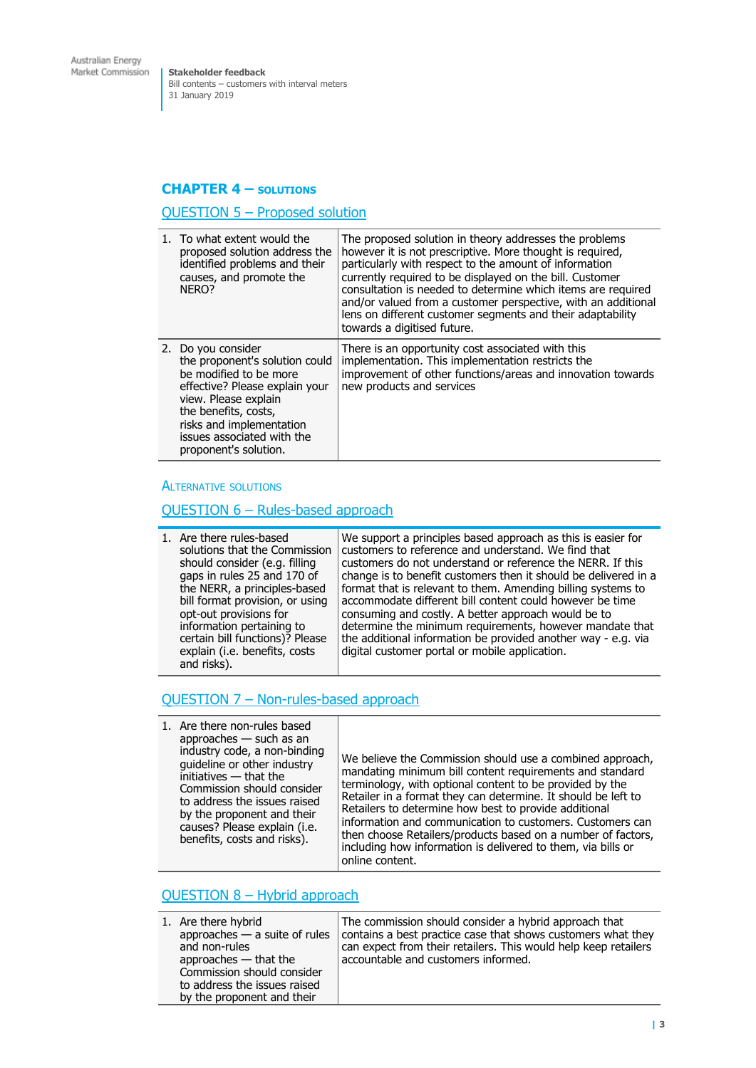**Stakeholder feedback** Bill contents – customers with interval meters 31 January 2019

#### **CHAPTER 4 – SOLUTIONS**

#### QUESTION 5 – Proposed solution

| 1. To what extent would the<br>proposed solution address the<br>identified problems and their<br>causes, and promote the<br>NERO?                                                                                                                   | The proposed solution in theory addresses the problems<br>however it is not prescriptive. More thought is required,<br>particularly with respect to the amount of information<br>currently required to be displayed on the bill. Customer<br>consultation is needed to determine which items are required<br>and/or valued from a customer perspective, with an additional |
|-----------------------------------------------------------------------------------------------------------------------------------------------------------------------------------------------------------------------------------------------------|----------------------------------------------------------------------------------------------------------------------------------------------------------------------------------------------------------------------------------------------------------------------------------------------------------------------------------------------------------------------------|
|                                                                                                                                                                                                                                                     | lens on different customer segments and their adaptability<br>towards a digitised future.                                                                                                                                                                                                                                                                                  |
| 2. Do you consider<br>the proponent's solution could<br>be modified to be more<br>effective? Please explain your<br>view. Please explain<br>the benefits, costs,<br>risks and implementation<br>issues associated with the<br>proponent's solution. | There is an opportunity cost associated with this<br>implementation. This implementation restricts the<br>improvement of other functions/areas and innovation towards<br>new products and services                                                                                                                                                                         |

#### ALTERNATIVE SOLUTIONS

#### QUESTION 6 – Rules-based approach

| and risks). |  | 1. Are there rules-based<br>solutions that the Commission<br>should consider (e.g. filling<br>gaps in rules 25 and 170 of<br>the NERR, a principles-based<br>bill format provision, or using<br>opt-out provisions for<br>information pertaining to<br>certain bill functions)? Please<br>explain (i.e. benefits, costs | We support a principles based approach as this is easier for<br>customers to reference and understand. We find that<br>customers do not understand or reference the NERR. If this<br>change is to benefit customers then it should be delivered in a<br>format that is relevant to them. Amending billing systems to<br>accommodate different bill content could however be time<br>consuming and costly. A better approach would be to<br>determine the minimum requirements, however mandate that<br>the additional information be provided another way - e.g. via<br>digital customer portal or mobile application. |
|-------------|--|-------------------------------------------------------------------------------------------------------------------------------------------------------------------------------------------------------------------------------------------------------------------------------------------------------------------------|------------------------------------------------------------------------------------------------------------------------------------------------------------------------------------------------------------------------------------------------------------------------------------------------------------------------------------------------------------------------------------------------------------------------------------------------------------------------------------------------------------------------------------------------------------------------------------------------------------------------|
|-------------|--|-------------------------------------------------------------------------------------------------------------------------------------------------------------------------------------------------------------------------------------------------------------------------------------------------------------------------|------------------------------------------------------------------------------------------------------------------------------------------------------------------------------------------------------------------------------------------------------------------------------------------------------------------------------------------------------------------------------------------------------------------------------------------------------------------------------------------------------------------------------------------------------------------------------------------------------------------------|

#### QUESTION 7 – Non-rules-based approach

| 1. Are there non-rules based<br>approaches $-$ such as an<br>industry code, a non-binding<br>quideline or other industry<br>initiatives - that the<br>Commission should consider<br>to address the issues raised<br>by the proponent and their<br>causes? Please explain (i.e.<br>benefits, costs and risks). | We believe the Commission should use a combined approach,<br>mandating minimum bill content requirements and standard<br>terminology, with optional content to be provided by the<br>Retailer in a format they can determine. It should be left to<br>Retailers to determine how best to provide additional<br>information and communication to customers. Customers can<br>then choose Retailers/products based on a number of factors,<br>including how information is delivered to them, via bills or<br>online content. |
|---------------------------------------------------------------------------------------------------------------------------------------------------------------------------------------------------------------------------------------------------------------------------------------------------------------|-----------------------------------------------------------------------------------------------------------------------------------------------------------------------------------------------------------------------------------------------------------------------------------------------------------------------------------------------------------------------------------------------------------------------------------------------------------------------------------------------------------------------------|
|---------------------------------------------------------------------------------------------------------------------------------------------------------------------------------------------------------------------------------------------------------------------------------------------------------------|-----------------------------------------------------------------------------------------------------------------------------------------------------------------------------------------------------------------------------------------------------------------------------------------------------------------------------------------------------------------------------------------------------------------------------------------------------------------------------------------------------------------------------|

## QUESTION 8 – Hybrid approach

| 1. Are there hybrid<br>approaches $-$ a suite of rules<br>and non-rules<br>approaches $-$ that the<br>Commission should consider<br>to address the issues raised | The commission should consider a hybrid approach that<br>contains a best practice case that shows customers what they<br>can expect from their retailers. This would help keep retailers<br>accountable and customers informed. |
|------------------------------------------------------------------------------------------------------------------------------------------------------------------|---------------------------------------------------------------------------------------------------------------------------------------------------------------------------------------------------------------------------------|
| by the proponent and their                                                                                                                                       |                                                                                                                                                                                                                                 |